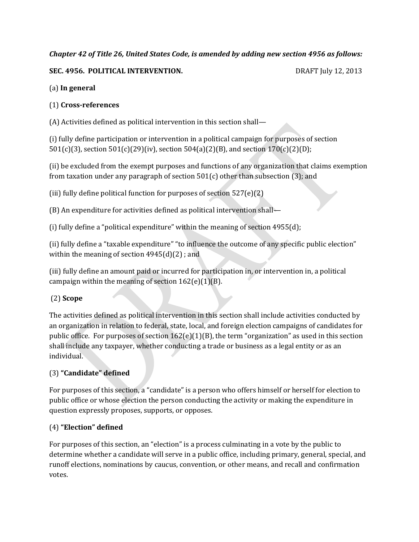# *Chapter 42 of Title 26, United States Code, is amended by adding new section 4956 as follows:*

## **SEC. 4956. POLITICAL INTERVENTION.** DRAFT July 12, 2013

## (a) **In general**

## (1) **Cross-references**

(A) Activities defined as political intervention in this section shall—

(i) fully define participation or intervention in a political campaign for purposes of section 501(c)(3), section 501(c)(29)(iv), section 504(a)(2)(B), and section 170(c)(2)(D);

(ii) be excluded from the exempt purposes and functions of any organization that claims exemption from taxation under any paragraph of section  $501(c)$  other than subsection (3); and

(iii) fully define political function for purposes of section 527(e)(2)

(B) An expenditure for activities defined as political intervention shall—

(i) fully define a "political expenditure" within the meaning of section 4955(d);

(ii) fully define a "taxable expenditure" "to influence the outcome of any specific public election" within the meaning of section 4945(d)(2) ; and

(iii) fully define an amount paid or incurred for participation in, or intervention in, a political campaign within the meaning of section  $162(e)(1)(B)$ .

# (2) **Scope**

The activities defined as political intervention in this section shall include activities conducted by an organization in relation to federal, state, local, and foreign election campaigns of candidates for public office. For purposes of section  $162(e)(1)(B)$ , the term "organization" as used in this section shall include any taxpayer, whether conducting a trade or business as a legal entity or as an individual.

# (3) **"Candidate" defined**

For purposes of this section, a "candidate" is a person who offers himself or herself for election to public office or whose election the person conducting the activity or making the expenditure in question expressly proposes, supports, or opposes.

## (4) **"Election" defined**

For purposes of this section, an "election" is a process culminating in a vote by the public to determine whether a candidate will serve in a public office, including primary, general, special, and runoff elections, nominations by caucus, convention, or other means, and recall and confirmation votes.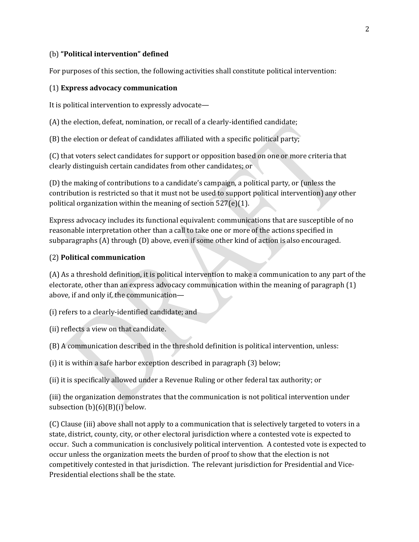## (b) **"Political intervention" defined**

For purposes of this section, the following activities shall constitute political intervention:

#### (1) **Express advocacy communication**

It is political intervention to expressly advocate—

(A) the election, defeat, nomination, or recall of a clearly-identified candidate;

(B) the election or defeat of candidates affiliated with a specific political party;

(C) that voters select candidates for support or opposition based on one or more criteria that clearly distinguish certain candidates from other candidates; or

(D) the making of contributions to a candidate's campaign, a political party, or (unless the contribution is restricted so that it must not be used to support political intervention) any other political organization within the meaning of section 527(e)(1).

Express advocacy includes its functional equivalent: communications that are susceptible of no reasonable interpretation other than a call to take one or more of the actions specified in subparagraphs (A) through (D) above, even if some other kind of action is also encouraged.

#### (2) **Political communication**

(A) As a threshold definition, it is political intervention to make a communication to any part of the electorate, other than an express advocacy communication within the meaning of paragraph (1) above, if and only if, the communication—

(i) refers to a clearly-identified candidate; and

(ii) reflects a view on that candidate.

(B) A communication described in the threshold definition is political intervention, unless:

(i) it is within a safe harbor exception described in paragraph (3) below;

(ii) it is specifically allowed under a Revenue Ruling or other federal tax authority; or

(iii) the organization demonstrates that the communication is not political intervention under subsection  $(b)(6)(B)(i)$  below.

(C) Clause (iii) above shall not apply to a communication that is selectively targeted to voters in a state, district, county, city, or other electoral jurisdiction where a contested vote is expected to occur. Such a communication is conclusively political intervention. A contested vote is expected to occur unless the organization meets the burden of proof to show that the election is not competitively contested in that jurisdiction. The relevant jurisdiction for Presidential and Vice-Presidential elections shall be the state.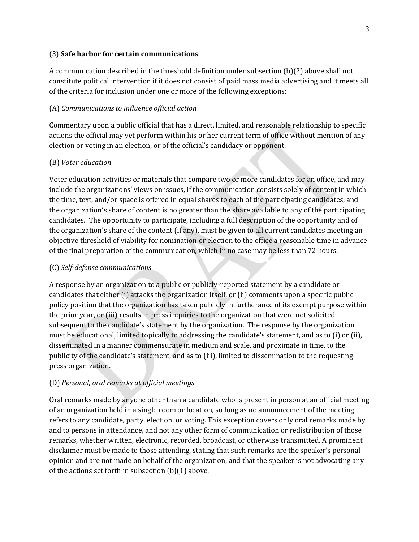#### (3) **Safe harbor for certain communications**

A communication described in the threshold definition under subsection (b)(2) above shall not constitute political intervention if it does not consist of paid mass media advertising and it meets all of the criteria for inclusion under one or more of the following exceptions:

## (A) *Communications to influence official action*

Commentary upon a public official that has a direct, limited, and reasonable relationship to specific actions the official may yet perform within his or her current term of office without mention of any election or voting in an election, or of the official's candidacy or opponent.

# (B) *Voter education*

Voter education activities or materials that compare two or more candidates for an office, and may include the organizations' views on issues, if the communication consists solely of content in which the time, text, and/or space is offered in equal shares to each of the participating candidates, and the organization's share of content is no greater than the share available to any of the participating candidates. The opportunity to participate, including a full description of the opportunity and of the organization's share of the content (if any), must be given to all current candidates meeting an objective threshold of viability for nomination or election to the office a reasonable time in advance of the final preparation of the communication, which in no case may be less than 72 hours.

# (C) *Self-defense communications*

A response by an organization to a public or publicly-reported statement by a candidate or candidates that either (i) attacks the organization itself, or (ii) comments upon a specific public policy position that the organization has taken publicly in furtherance of its exempt purpose within the prior year, or (iii) results in press inquiries to the organization that were not solicited subsequent to the candidate's statement by the organization. The response by the organization must be educational, limited topically to addressing the candidate's statement, and as to (i) or (ii), disseminated in a manner commensurate in medium and scale, and proximate in time, to the publicity of the candidate's statement, and as to (iii), limited to dissemination to the requesting press organization.

# (D) *Personal, oral remarks at official meetings*

Oral remarks made by anyone other than a candidate who is present in person at an official meeting of an organization held in a single room or location, so long as no announcement of the meeting refers to any candidate, party, election, or voting. This exception covers only oral remarks made by and to persons in attendance, and not any other form of communication or redistribution of those remarks, whether written, electronic, recorded, broadcast, or otherwise transmitted. A prominent disclaimer must be made to those attending, stating that such remarks are the speaker's personal opinion and are not made on behalf of the organization, and that the speaker is not advocating any of the actions set forth in subsection (b)(1) above.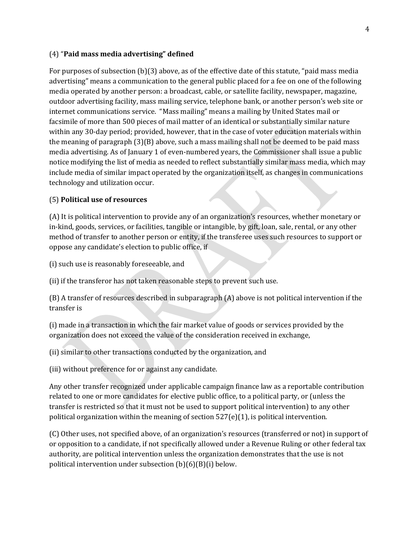#### (4) "**Paid mass media advertising" defined**

For purposes of subsection (b)(3) above, as of the effective date of this statute, "paid mass media advertising" means a communication to the general public placed for a fee on one of the following media operated by another person: a broadcast, cable, or satellite facility, newspaper, magazine, outdoor advertising facility, mass mailing service, telephone bank, or another person's web site or internet communications service. "Mass mailing" means a mailing by United States mail or facsimile of more than 500 pieces of mail matter of an identical or substantially similar nature within any 30-day period; provided, however, that in the case of voter education materials within the meaning of paragraph (3)(B) above, such a mass mailing shall not be deemed to be paid mass media advertising. As of January 1 of even-numbered years, the Commissioner shall issue a public notice modifying the list of media as needed to reflect substantially similar mass media, which may include media of similar impact operated by the organization itself, as changes in communications technology and utilization occur.

## (5) **Political use of resources**

(A) It is political intervention to provide any of an organization's resources, whether monetary or in-kind, goods, services, or facilities, tangible or intangible, by gift, loan, sale, rental, or any other method of transfer to another person or entity, if the transferee uses such resources to support or oppose any candidate's election to public office, if

(i) such use is reasonably foreseeable, and

(ii) if the transferor has not taken reasonable steps to prevent such use.

(B) A transfer of resources described in subparagraph (A) above is not political intervention if the transfer is

(i) made in a transaction in which the fair market value of goods or services provided by the organization does not exceed the value of the consideration received in exchange,

(ii) similar to other transactions conducted by the organization, and

(iii) without preference for or against any candidate.

Any other transfer recognized under applicable campaign finance law as a reportable contribution related to one or more candidates for elective public office, to a political party, or (unless the transfer is restricted so that it must not be used to support political intervention) to any other political organization within the meaning of section  $527(e)(1)$ , is political intervention.

(C) Other uses, not specified above, of an organization's resources (transferred or not) in support of or opposition to a candidate, if not specifically allowed under a Revenue Ruling or other federal tax authority, are political intervention unless the organization demonstrates that the use is not political intervention under subsection (b)(6)(B)(i) below.